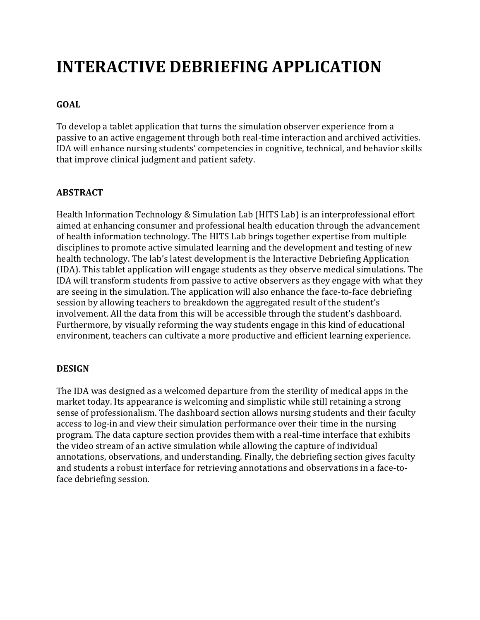# **INTERACTIVE DEBRIEFING APPLICATION**

# **GOAL**

To develop a tablet application that turns the simulation observer experience from a passive to an active engagement through both real-time interaction and archived activities. IDA will enhance nursing students' competencies in cognitive, technical, and behavior skills that improve clinical judgment and patient safety.

### **ABSTRACT**

Health Information Technology & Simulation Lab (HITS Lab) is an interprofessional effort aimed at enhancing consumer and professional health education through the advancement of health information technology. The HITS Lab brings together expertise from multiple disciplines to promote active simulated learning and the development and testing of new health technology. The lab's latest development is the Interactive Debriefing Application (IDA). This tablet application will engage students as they observe medical simulations. The IDA will transform students from passive to active observers as they engage with what they are seeing in the simulation. The application will also enhance the face-to-face debriefing session by allowing teachers to breakdown the aggregated result of the student's involvement. All the data from this will be accessible through the student's dashboard. Furthermore, by visually reforming the way students engage in this kind of educational environment, teachers can cultivate a more productive and efficient learning experience.

#### **DESIGN**

The IDA was designed as a welcomed departure from the sterility of medical apps in the market today. Its appearance is welcoming and simplistic while still retaining a strong sense of professionalism. The dashboard section allows nursing students and their faculty access to log-in and view their simulation performance over their time in the nursing program. The data capture section provides them with a real-time interface that exhibits the video stream of an active simulation while allowing the capture of individual annotations, observations, and understanding. Finally, the debriefing section gives faculty and students a robust interface for retrieving annotations and observations in a face-toface debriefing session.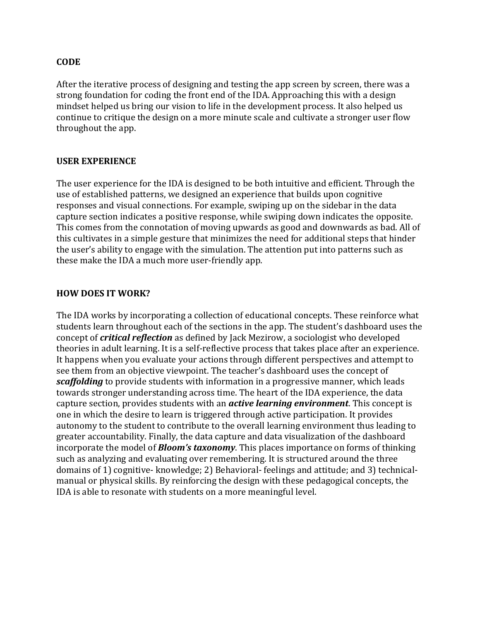#### **CODE**

After the iterative process of designing and testing the app screen by screen, there was a strong foundation for coding the front end of the IDA. Approaching this with a design mindset helped us bring our vision to life in the development process. It also helped us continue to critique the design on a more minute scale and cultivate a stronger user flow throughout the app.

#### **USER EXPERIENCE**

The user experience for the IDA is designed to be both intuitive and efficient. Through the use of established patterns, we designed an experience that builds upon cognitive responses and visual connections. For example, swiping up on the sidebar in the data capture section indicates a positive response, while swiping down indicates the opposite. This comes from the connotation of moving upwards as good and downwards as bad. All of this cultivates in a simple gesture that minimizes the need for additional steps that hinder the user's ability to engage with the simulation. The attention put into patterns such as these make the IDA a much more user-friendly app.

#### **HOW DOES IT WORK?**

The IDA works by incorporating a collection of educational concepts. These reinforce what students learn throughout each of the sections in the app. The student's dashboard uses the concept of *critical reflection* as defined by Jack Mezirow, a sociologist who developed theories in adult learning. It is a self-reflective process that takes place after an experience. It happens when you evaluate your actions through different perspectives and attempt to see them from an objective viewpoint. The teacher's dashboard uses the concept of *scaffolding* to provide students with information in a progressive manner, which leads towards stronger understanding across time. The heart of the IDA experience, the data capture section, provides students with an *active learning environment*. This concept is one in which the desire to learn is triggered through active participation. It provides autonomy to the student to contribute to the overall learning environment thus leading to greater accountability. Finally, the data capture and data visualization of the dashboard incorporate the model of *Bloom's taxonomy*. This places importance on forms of thinking such as analyzing and evaluating over remembering. It is structured around the three domains of 1) cognitive- knowledge; 2) Behavioral- feelings and attitude; and 3) technicalmanual or physical skills. By reinforcing the design with these pedagogical concepts, the IDA is able to resonate with students on a more meaningful level.